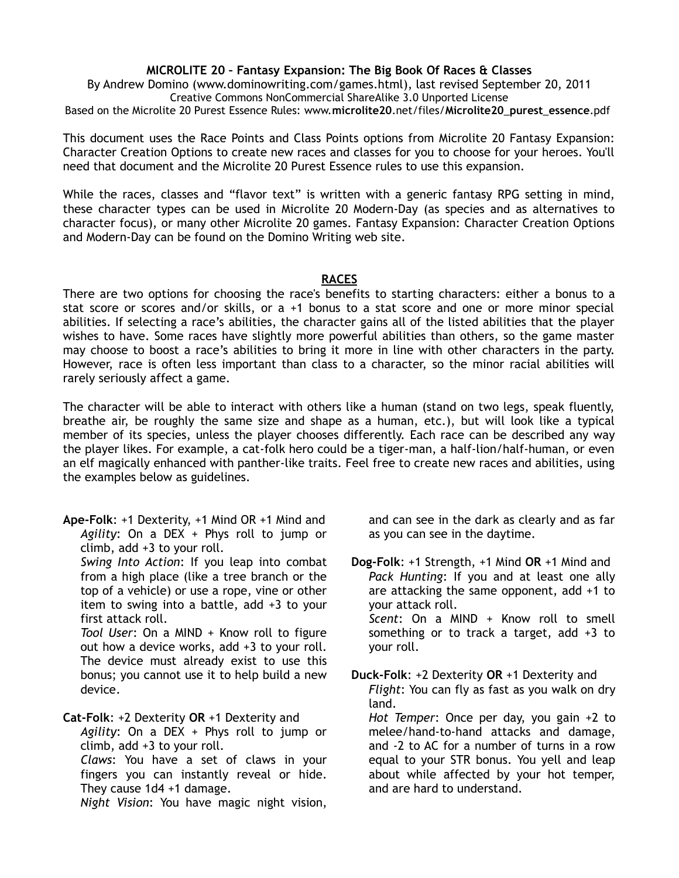## **MICROLITE 20 – Fantasy Expansion: The Big Book Of Races & Classes**

By Andrew Domino (www.dominowriting.com/games.html), last revised September 20, 2011 Creative Commons NonCommercial ShareAlike 3.0 Unported License

Based on the Microlite 20 Purest Essence Rules: www.**microlite20**.net/files/**Microlite20**\_**purest**\_**essence**.pdf

This document uses the Race Points and Class Points options from Microlite 20 Fantasy Expansion: Character Creation Options to create new races and classes for you to choose for your heroes. You'll need that document and the Microlite 20 Purest Essence rules to use this expansion.

While the races, classes and "flavor text" is written with a generic fantasy RPG setting in mind, these character types can be used in Microlite 20 Modern-Day (as species and as alternatives to character focus), or many other Microlite 20 games. Fantasy Expansion: Character Creation Options and Modern-Day can be found on the Domino Writing web site.

## **RACES**

There are two options for choosing the race's benefits to starting characters: either a bonus to a stat score or scores and/or skills, or a +1 bonus to a stat score and one or more minor special abilities. If selecting a race's abilities, the character gains all of the listed abilities that the player wishes to have. Some races have slightly more powerful abilities than others, so the game master may choose to boost a race's abilities to bring it more in line with other characters in the party. However, race is often less important than class to a character, so the minor racial abilities will rarely seriously affect a game.

The character will be able to interact with others like a human (stand on two legs, speak fluently, breathe air, be roughly the same size and shape as a human, etc.), but will look like a typical member of its species, unless the player chooses differently. Each race can be described any way the player likes. For example, a cat-folk hero could be a tiger-man, a half-lion/half-human, or even an elf magically enhanced with panther-like traits. Feel free to create new races and abilities, using the examples below as guidelines.

**Ape-Folk**: +1 Dexterity, +1 Mind OR +1 Mind and *Agility*: On a DEX + Phys roll to jump or climb, add +3 to your roll.

*Swing Into Action*: If you leap into combat from a high place (like a tree branch or the top of a vehicle) or use a rope, vine or other item to swing into a battle, add +3 to your first attack roll.

*Tool User*: On a MIND + Know roll to figure out how a device works, add +3 to your roll. The device must already exist to use this bonus; you cannot use it to help build a new device.

**Cat-Folk**: +2 Dexterity **OR** +1 Dexterity and

*Agility*: On a DEX + Phys roll to jump or climb, add +3 to your roll.

*Claws*: You have a set of claws in your fingers you can instantly reveal or hide. They cause 1d4 +1 damage.

*Night Vision*: You have magic night vision,

and can see in the dark as clearly and as far as you can see in the daytime.

**Dog-Folk**: +1 Strength, +1 Mind **OR** +1 Mind and *Pack Hunting*: If you and at least one ally are attacking the same opponent, add +1 to your attack roll. *Scent*: On a MIND + Know roll to smell something or to track a target, add +3 to your roll.

**Duck-Folk**: +2 Dexterity **OR** +1 Dexterity and *Flight*: You can fly as fast as you walk on dry land. *Hot Temper*: Once per day, you gain +2 to

melee/hand-to-hand attacks and damage, and -2 to AC for a number of turns in a row equal to your STR bonus. You yell and leap about while affected by your hot temper, and are hard to understand.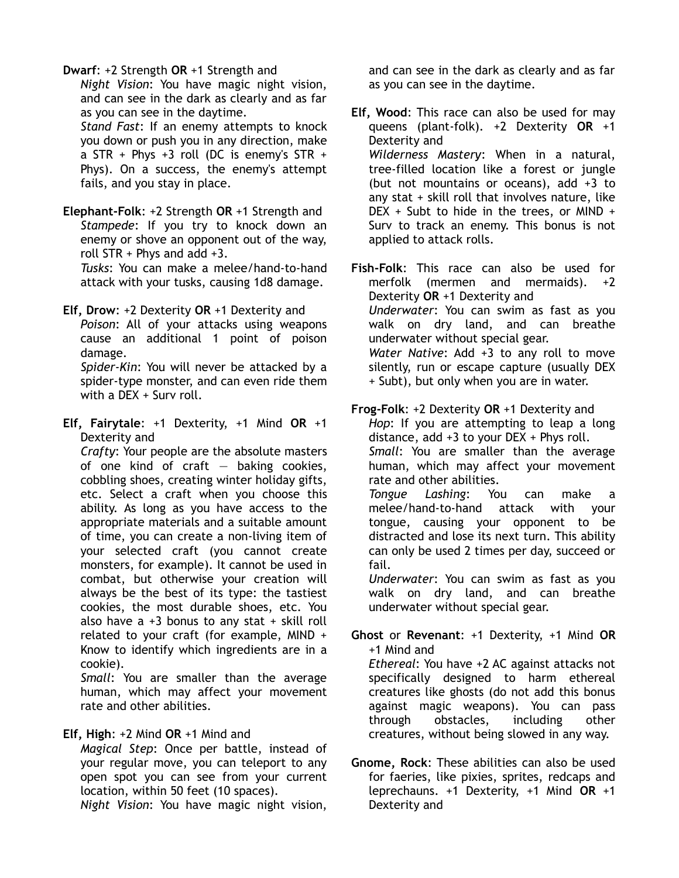## **Dwarf**: +2 Strength **OR** +1 Strength and

*Night Vision*: You have magic night vision, and can see in the dark as clearly and as far as you can see in the daytime.

*Stand Fast*: If an enemy attempts to knock you down or push you in any direction, make a STR + Phys +3 roll (DC is enemy's STR + Phys). On a success, the enemy's attempt fails, and you stay in place.

**Elephant-Folk**: +2 Strength **OR** +1 Strength and *Stampede*: If you try to knock down an enemy or shove an opponent out of the way, roll STR + Phys and add +3.

*Tusks*: You can make a melee/hand-to-hand attack with your tusks, causing 1d8 damage.

**Elf, Drow**: +2 Dexterity **OR** +1 Dexterity and

*Poison*: All of your attacks using weapons cause an additional 1 point of poison damage.

*Spider-Kin*: You will never be attacked by a spider-type monster, and can even ride them with a DEX + Surv roll.

**Elf, Fairytale**: +1 Dexterity, +1 Mind **OR** +1 Dexterity and

*Crafty*: Your people are the absolute masters of one kind of craft  $-$  baking cookies, cobbling shoes, creating winter holiday gifts, etc. Select a craft when you choose this ability. As long as you have access to the appropriate materials and a suitable amount of time, you can create a non-living item of your selected craft (you cannot create monsters, for example). It cannot be used in combat, but otherwise your creation will always be the best of its type: the tastiest cookies, the most durable shoes, etc. You also have a  $+3$  bonus to any stat  $+$  skill roll related to your craft (for example, MIND + Know to identify which ingredients are in a cookie).

*Small*: You are smaller than the average human, which may affect your movement rate and other abilities.

## **Elf, High**: +2 Mind **OR** +1 Mind and

*Magical Step*: Once per battle, instead of your regular move, you can teleport to any open spot you can see from your current location, within 50 feet (10 spaces).

*Night Vision*: You have magic night vision,

and can see in the dark as clearly and as far as you can see in the daytime.

**Elf, Wood**: This race can also be used for may queens (plant-folk). +2 Dexterity **OR** +1 Dexterity and *Wilderness Mastery*: When in a natural, tree-filled location like a forest or jungle (but not mountains or oceans), add +3 to any stat + skill roll that involves nature, like DEX + Subt to hide in the trees, or MIND + Surv to track an enemy. This bonus is not applied to attack rolls.

**Fish-Folk**: This race can also be used for merfolk (mermen and mermaids). +2 Dexterity **OR** +1 Dexterity and *Underwater*: You can swim as fast as you walk on dry land, and can breathe underwater without special gear. *Water Native*: Add +3 to any roll to move silently, run or escape capture (usually DEX + Subt), but only when you are in water.

**Frog-Folk**: +2 Dexterity **OR** +1 Dexterity and *Hop*: If you are attempting to leap a long distance, add +3 to your DEX + Phys roll. *Small*: You are smaller than the average human, which may affect your movement rate and other abilities.

*Tongue Lashing*: You can make a melee/hand-to-hand attack with your tongue, causing your opponent to be distracted and lose its next turn. This ability can only be used 2 times per day, succeed or fail.

*Underwater*: You can swim as fast as you walk on dry land, and can breathe underwater without special gear.

**Ghost** or **Revenant**: +1 Dexterity, +1 Mind **OR** +1 Mind and *Ethereal*: You have +2 AC against attacks not specifically designed to harm ethereal creatures like ghosts (do not add this bonus against magic weapons). You can pass through obstacles, including other creatures, without being slowed in any way.

**Gnome, Rock**: These abilities can also be used for faeries, like pixies, sprites, redcaps and leprechauns. +1 Dexterity, +1 Mind **OR** +1 Dexterity and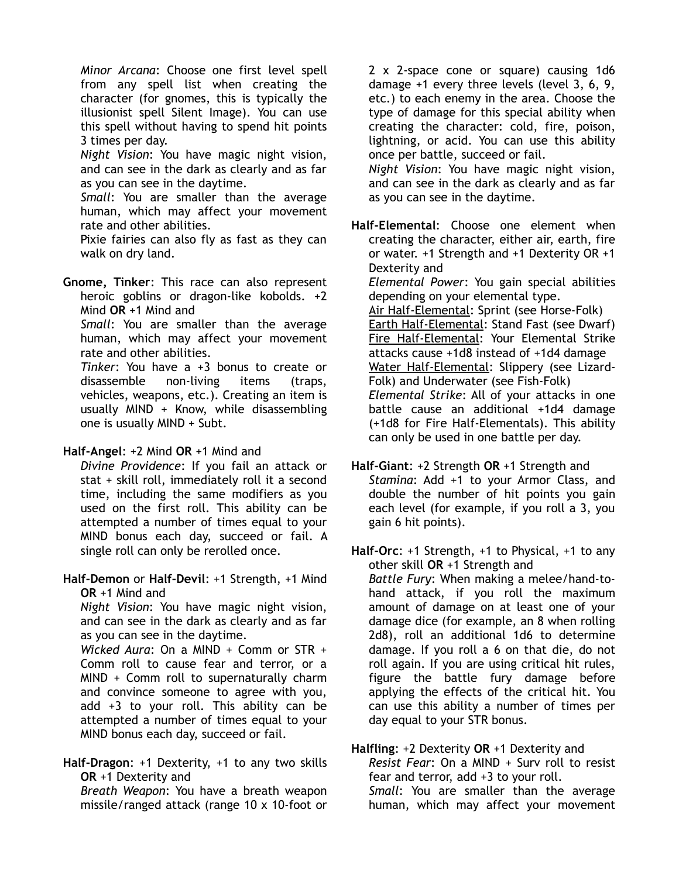*Minor Arcana*: Choose one first level spell from any spell list when creating the character (for gnomes, this is typically the illusionist spell Silent Image). You can use this spell without having to spend hit points 3 times per day.

*Night Vision*: You have magic night vision, and can see in the dark as clearly and as far as you can see in the daytime.

*Small*: You are smaller than the average human, which may affect your movement rate and other abilities.

Pixie fairies can also fly as fast as they can walk on dry land.

**Gnome, Tinker**: This race can also represent heroic goblins or dragon-like kobolds. +2 Mind **OR** +1 Mind and

*Small*: You are smaller than the average human, which may affect your movement rate and other abilities.

*Tinker*: You have a +3 bonus to create or disassemble non-living items (traps, vehicles, weapons, etc.). Creating an item is usually MIND + Know, while disassembling one is usually MIND + Subt.

## **Half-Angel**: +2 Mind **OR** +1 Mind and

*Divine Providence*: If you fail an attack or stat + skill roll, immediately roll it a second time, including the same modifiers as you used on the first roll. This ability can be attempted a number of times equal to your MIND bonus each day, succeed or fail. A single roll can only be rerolled once.

**Half-Demon** or **Half-Devil**: +1 Strength, +1 Mind **OR** +1 Mind and

*Night Vision*: You have magic night vision, and can see in the dark as clearly and as far as you can see in the daytime.

*Wicked Aura*: On a MIND + Comm or STR + Comm roll to cause fear and terror, or a MIND + Comm roll to supernaturally charm and convince someone to agree with you, add +3 to your roll. This ability can be attempted a number of times equal to your MIND bonus each day, succeed or fail.

**Half-Dragon**: +1 Dexterity, +1 to any two skills **OR** +1 Dexterity and *Breath Weapon*: You have a breath weapon

missile/ranged attack (range 10 x 10-foot or

2 x 2-space cone or square) causing 1d6 damage +1 every three levels (level 3, 6, 9, etc.) to each enemy in the area. Choose the type of damage for this special ability when creating the character: cold, fire, poison, lightning, or acid. You can use this ability once per battle, succeed or fail.

*Night Vision*: You have magic night vision, and can see in the dark as clearly and as far as you can see in the daytime.

**Half-Elemental**: Choose one element when creating the character, either air, earth, fire or water. +1 Strength and +1 Dexterity OR +1 Dexterity and

*Elemental Power*: You gain special abilities depending on your elemental type.

Air Half-Elemental: Sprint (see Horse-Folk) Earth Half-Elemental: Stand Fast (see Dwarf) Fire Half-Elemental: Your Elemental Strike attacks cause +1d8 instead of +1d4 damage Water Half-Elemental: Slippery (see Lizard-Folk) and Underwater (see Fish-Folk) *Elemental Strike*: All of your attacks in one battle cause an additional +1d4 damage (+1d8 for Fire Half-Elementals). This ability can only be used in one battle per day.

**Half-Giant**: +2 Strength **OR** +1 Strength and *Stamina*: Add +1 to your Armor Class, and double the number of hit points you gain each level (for example, if you roll a 3, you gain 6 hit points).

**Half-Orc**: +1 Strength, +1 to Physical, +1 to any other skill **OR** +1 Strength and *Battle Fury*: When making a melee/hand-tohand attack, if you roll the maximum amount of damage on at least one of your damage dice (for example, an 8 when rolling 2d8), roll an additional 1d6 to determine damage. If you roll a 6 on that die, do not roll again. If you are using critical hit rules, figure the battle fury damage before applying the effects of the critical hit. You can use this ability a number of times per day equal to your STR bonus.

# **Halfling**: +2 Dexterity **OR** +1 Dexterity and

*Resist Fear*: On a MIND + Surv roll to resist fear and terror, add +3 to your roll. *Small*: You are smaller than the average human, which may affect your movement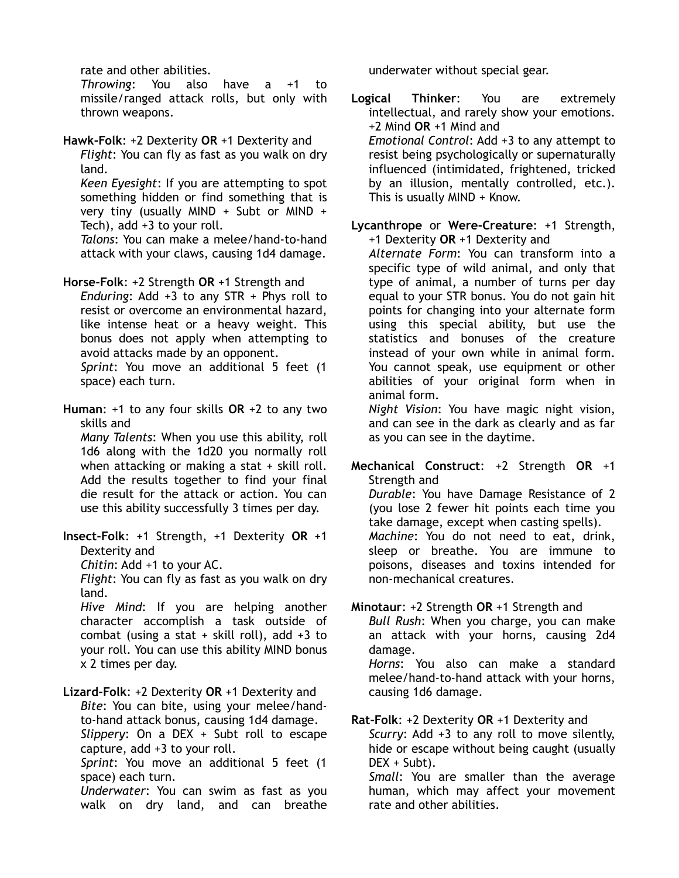rate and other abilities.

*Throwing*: You also have a +1 to missile/ranged attack rolls, but only with thrown weapons.

**Hawk-Folk**: +2 Dexterity **OR** +1 Dexterity and *Flight*: You can fly as fast as you walk on dry land.

*Keen Eyesight*: If you are attempting to spot something hidden or find something that is very tiny (usually MIND + Subt or MIND + Tech), add +3 to your roll.

*Talons*: You can make a melee/hand-to-hand attack with your claws, causing 1d4 damage.

**Horse-Folk**: +2 Strength **OR** +1 Strength and *Enduring*: Add +3 to any STR + Phys roll to resist or overcome an environmental hazard, like intense heat or a heavy weight. This bonus does not apply when attempting to avoid attacks made by an opponent. *Sprint*: You move an additional 5 feet (1

space) each turn.

**Human**: +1 to any four skills **OR** +2 to any two skills and *Many Talents*: When you use this ability, roll 1d6 along with the 1d20 you normally roll when attacking or making a stat + skill roll. Add the results together to find your final die result for the attack or action. You can

use this ability successfully 3 times per day.

**Insect-Folk**: +1 Strength, +1 Dexterity **OR** +1 Dexterity and

*Chitin*: Add +1 to your AC.

*Flight*: You can fly as fast as you walk on dry land.

*Hive Mind*: If you are helping another character accomplish a task outside of combat (using a stat  $+$  skill roll), add  $+3$  to your roll. You can use this ability MIND bonus x 2 times per day.

**Lizard-Folk**: +2 Dexterity **OR** +1 Dexterity and *Bite*: You can bite, using your melee/handto-hand attack bonus, causing 1d4 damage. *Slippery*: On a DEX + Subt roll to escape capture, add +3 to your roll. *Sprint*: You move an additional 5 feet (1 space) each turn. *Underwater*: You can swim as fast as you

walk on dry land, and can breathe

underwater without special gear.

**Logical Thinker**: You are extremely intellectual, and rarely show your emotions. +2 Mind **OR** +1 Mind and *Emotional Control*: Add +3 to any attempt to resist being psychologically or supernaturally influenced (intimidated, frightened, tricked by an illusion, mentally controlled, etc.). This is usually MIND + Know.

**Lycanthrope** or **Were-Creature**: +1 Strength, +1 Dexterity **OR** +1 Dexterity and

*Alternate Form*: You can transform into a specific type of wild animal, and only that type of animal, a number of turns per day equal to your STR bonus. You do not gain hit points for changing into your alternate form using this special ability, but use the statistics and bonuses of the creature instead of your own while in animal form. You cannot speak, use equipment or other abilities of your original form when in animal form.

*Night Vision*: You have magic night vision, and can see in the dark as clearly and as far as you can see in the daytime.

**Mechanical Construct**: +2 Strength **OR** +1 Strength and

*Durable*: You have Damage Resistance of 2 (you lose 2 fewer hit points each time you take damage, except when casting spells). *Machine*: You do not need to eat, drink, sleep or breathe. You are immune to poisons, diseases and toxins intended for non-mechanical creatures.

**Minotaur**: +2 Strength **OR** +1 Strength and *Bull Rush*: When you charge, you can make an attack with your horns, causing 2d4 damage. *Horns*: You also can make a standard melee/hand-to-hand attack with your horns,

causing 1d6 damage.

**Rat-Folk**: +2 Dexterity **OR** +1 Dexterity and *Scurry*: Add +3 to any roll to move silently, hide or escape without being caught (usually DEX + Subt).

*Small*: You are smaller than the average human, which may affect your movement rate and other abilities.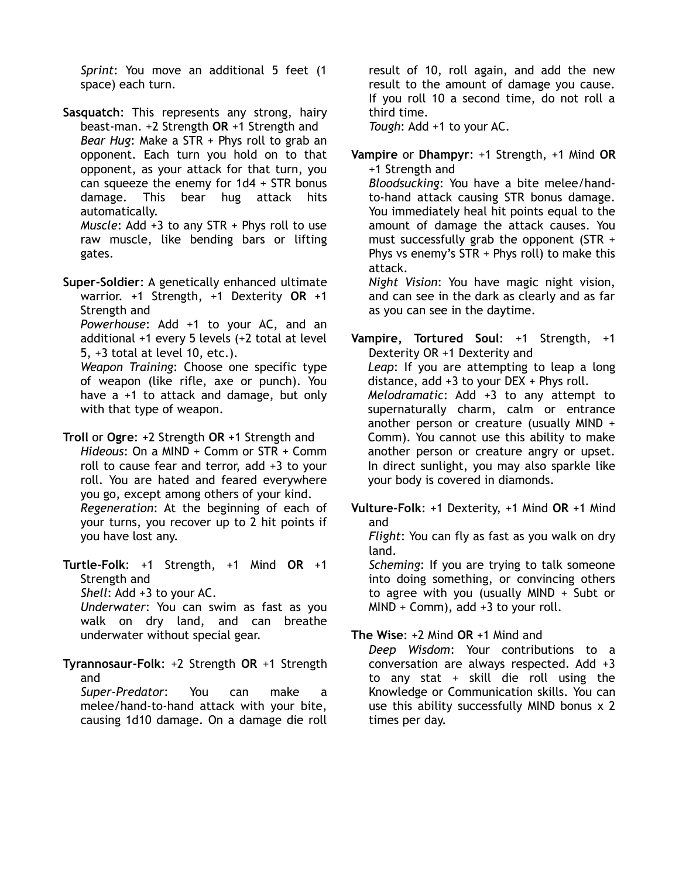*Sprint*: You move an additional 5 feet (1 space) each turn.

**Sasquatch**: This represents any strong, hairy beast-man. +2 Strength **OR** +1 Strength and *Bear Hug*: Make a STR + Phys roll to grab an opponent. Each turn you hold on to that opponent, as your attack for that turn, you can squeeze the enemy for 1d4 + STR bonus damage. This bear hug attack hits automatically. *Muscle*: Add +3 to any STR + Phys roll to use

raw muscle, like bending bars or lifting gates.

**Super-Soldier**: A genetically enhanced ultimate warrior. +1 Strength, +1 Dexterity **OR** +1 Strength and *Powerhouse*: Add +1 to your AC, and an additional +1 every 5 levels (+2 total at level 5, +3 total at level 10, etc.). *Weapon Training*: Choose one specific type of weapon (like rifle, axe or punch). You have a +1 to attack and damage, but only with that type of weapon.

**Troll** or **Ogre**: +2 Strength **OR** +1 Strength and *Hideous*: On a MIND + Comm or STR + Comm roll to cause fear and terror, add +3 to your roll. You are hated and feared everywhere you go, except among others of your kind. *Regeneration*: At the beginning of each of your turns, you recover up to 2 hit points if you have lost any.

**Turtle-Folk**: +1 Strength, +1 Mind **OR** +1 Strength and

*Shell*: Add +3 to your AC.

*Underwater*: You can swim as fast as you walk on dry land, and can breathe underwater without special gear.

**Tyrannosaur-Folk**: +2 Strength **OR** +1 Strength and *Super-Predator*: You can make a melee/hand-to-hand attack with your bite,

causing 1d10 damage. On a damage die roll

result of 10, roll again, and add the new result to the amount of damage you cause. If you roll 10 a second time, do not roll a third time.

*Tough*: Add +1 to your AC.

**Vampire** or **Dhampyr**: +1 Strength, +1 Mind **OR** +1 Strength and

*Bloodsucking*: You have a bite melee/handto-hand attack causing STR bonus damage. You immediately heal hit points equal to the amount of damage the attack causes. You must successfully grab the opponent (STR + Phys vs enemy's STR + Phys roll) to make this attack.

*Night Vision*: You have magic night vision, and can see in the dark as clearly and as far as you can see in the daytime.

**Vampire, Tortured Soul**: +1 Strength, +1 Dexterity OR +1 Dexterity and *Leap*: If you are attempting to leap a long distance, add +3 to your DEX + Phys roll. *Melodramatic*: Add +3 to any attempt to supernaturally charm, calm or entrance another person or creature (usually MIND + Comm). You cannot use this ability to make another person or creature angry or upset. In direct sunlight, you may also sparkle like your body is covered in diamonds.

**Vulture-Folk**: +1 Dexterity, +1 Mind **OR** +1 Mind and

*Flight*: You can fly as fast as you walk on dry land.

*Scheming*: If you are trying to talk someone into doing something, or convincing others to agree with you (usually MIND + Subt or  $MIND + Comm$ , add  $+3$  to your roll.

# **The Wise**: +2 Mind **OR** +1 Mind and

*Deep Wisdom*: Your contributions to a conversation are always respected. Add +3 to any stat + skill die roll using the Knowledge or Communication skills. You can use this ability successfully MIND bonus x 2 times per day.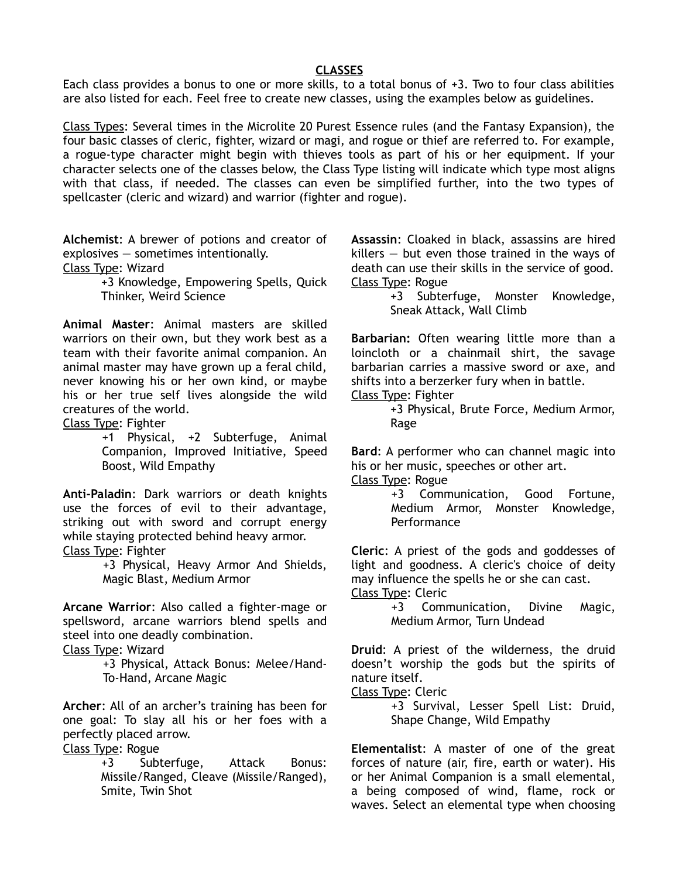### **CLASSES**

Each class provides a bonus to one or more skills, to a total bonus of +3. Two to four class abilities are also listed for each. Feel free to create new classes, using the examples below as guidelines.

Class Types: Several times in the Microlite 20 Purest Essence rules (and the Fantasy Expansion), the four basic classes of cleric, fighter, wizard or magi, and rogue or thief are referred to. For example, a rogue-type character might begin with thieves tools as part of his or her equipment. If your character selects one of the classes below, the Class Type listing will indicate which type most aligns with that class, if needed. The classes can even be simplified further, into the two types of spellcaster (cleric and wizard) and warrior (fighter and rogue).

**Alchemist**: A brewer of potions and creator of explosives — sometimes intentionally.

Class Type: Wizard

+3 Knowledge, Empowering Spells, Quick Thinker, Weird Science

**Animal Master**: Animal masters are skilled warriors on their own, but they work best as a team with their favorite animal companion. An animal master may have grown up a feral child, never knowing his or her own kind, or maybe his or her true self lives alongside the wild creatures of the world.

Class Type: Fighter

+1 Physical, +2 Subterfuge, Animal Companion, Improved Initiative, Speed Boost, Wild Empathy

**Anti-Paladin**: Dark warriors or death knights use the forces of evil to their advantage, striking out with sword and corrupt energy while staying protected behind heavy armor. Class Type: Fighter

> +3 Physical, Heavy Armor And Shields, Magic Blast, Medium Armor

**Arcane Warrior**: Also called a fighter-mage or spellsword, arcane warriors blend spells and steel into one deadly combination.

Class Type: Wizard

+3 Physical, Attack Bonus: Melee/Hand-To-Hand, Arcane Magic

**Archer**: All of an archer's training has been for one goal: To slay all his or her foes with a perfectly placed arrow.

Class Type: Rogue

+3 Subterfuge, Attack Bonus: Missile/Ranged, Cleave (Missile/Ranged), Smite, Twin Shot

**Assassin**: Cloaked in black, assassins are hired killers  $-$  but even those trained in the ways of death can use their skills in the service of good. Class Type: Rogue

> +3 Subterfuge, Monster Knowledge, Sneak Attack, Wall Climb

**Barbarian:** Often wearing little more than a loincloth or a chainmail shirt, the savage barbarian carries a massive sword or axe, and shifts into a berzerker fury when in battle.

Class Type: Fighter

+3 Physical, Brute Force, Medium Armor, Rage

**Bard**: A performer who can channel magic into his or her music, speeches or other art.

Class Type: Rogue

+3 Communication, Good Fortune, Medium Armor, Monster Knowledge, **Performance** 

**Cleric**: A priest of the gods and goddesses of light and goodness. A cleric's choice of deity may influence the spells he or she can cast. Class Type: Cleric

+3 Communication, Divine Magic, Medium Armor, Turn Undead

**Druid**: A priest of the wilderness, the druid doesn't worship the gods but the spirits of nature itself.

Class Type: Cleric

+3 Survival, Lesser Spell List: Druid, Shape Change, Wild Empathy

**Elementalist**: A master of one of the great forces of nature (air, fire, earth or water). His or her Animal Companion is a small elemental, a being composed of wind, flame, rock or waves. Select an elemental type when choosing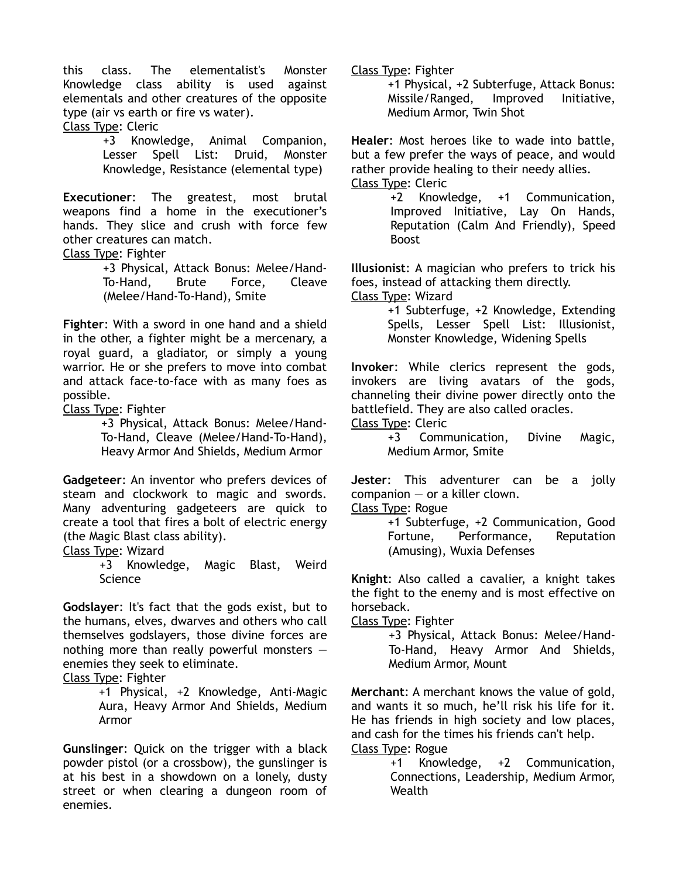this class. The elementalist's Monster Knowledge class ability is used against elementals and other creatures of the opposite type (air vs earth or fire vs water).

Class Type: Cleric

+3 Knowledge, Animal Companion, Lesser Spell List: Druid, Monster Knowledge, Resistance (elemental type)

**Executioner**: The greatest, most brutal weapons find a home in the executioner's hands. They slice and crush with force few other creatures can match.

Class Type: Fighter

+3 Physical, Attack Bonus: Melee/Hand-To-Hand, Brute Force, Cleave (Melee/Hand-To-Hand), Smite

**Fighter**: With a sword in one hand and a shield in the other, a fighter might be a mercenary, a royal guard, a gladiator, or simply a young warrior. He or she prefers to move into combat and attack face-to-face with as many foes as possible.

Class Type: Fighter

+3 Physical, Attack Bonus: Melee/Hand-To-Hand, Cleave (Melee/Hand-To-Hand), Heavy Armor And Shields, Medium Armor

**Gadgeteer**: An inventor who prefers devices of steam and clockwork to magic and swords. Many adventuring gadgeteers are quick to create a tool that fires a bolt of electric energy (the Magic Blast class ability).

Class Type: Wizard

+3 Knowledge, Magic Blast, Weird Science

**Godslayer**: It's fact that the gods exist, but to the humans, elves, dwarves and others who call themselves godslayers, those divine forces are nothing more than really powerful monsters  $$ enemies they seek to eliminate.

Class Type: Fighter

+1 Physical, +2 Knowledge, Anti-Magic Aura, Heavy Armor And Shields, Medium Armor

**Gunslinger**: Quick on the trigger with a black powder pistol (or a crossbow), the gunslinger is at his best in a showdown on a lonely, dusty street or when clearing a dungeon room of enemies.

Class Type: Fighter

+1 Physical, +2 Subterfuge, Attack Bonus: Missile/Ranged, Improved Initiative, Medium Armor, Twin Shot

**Healer**: Most heroes like to wade into battle, but a few prefer the ways of peace, and would rather provide healing to their needy allies. Class Type: Cleric

> +2 Knowledge, +1 Communication, Improved Initiative, Lay On Hands, Reputation (Calm And Friendly), Speed Boost

**Illusionist**: A magician who prefers to trick his foes, instead of attacking them directly.

Class Type: Wizard

+1 Subterfuge, +2 Knowledge, Extending Spells, Lesser Spell List: Illusionist, Monster Knowledge, Widening Spells

**Invoker**: While clerics represent the gods, invokers are living avatars of the gods, channeling their divine power directly onto the battlefield. They are also called oracles.

Class Type: Cleric

+3 Communication, Divine Magic, Medium Armor, Smite

**Jester**: This adventurer can be a jolly companion — or a killer clown.

Class Type: Rogue

+1 Subterfuge, +2 Communication, Good Fortune, Performance, Reputation (Amusing), Wuxia Defenses

**Knight**: Also called a cavalier, a knight takes the fight to the enemy and is most effective on horseback.

Class Type: Fighter

+3 Physical, Attack Bonus: Melee/Hand-To-Hand, Heavy Armor And Shields, Medium Armor, Mount

**Merchant**: A merchant knows the value of gold, and wants it so much, he'll risk his life for it. He has friends in high society and low places, and cash for the times his friends can't help. Class Type: Rogue

> +1 Knowledge, +2 Communication, Connections, Leadership, Medium Armor, Wealth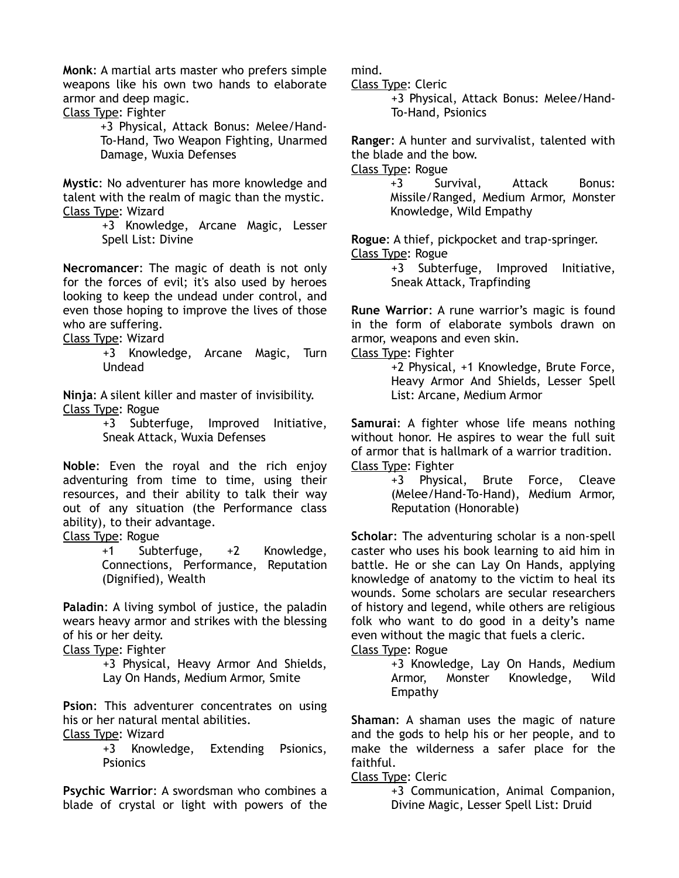**Monk**: A martial arts master who prefers simple weapons like his own two hands to elaborate armor and deep magic.

Class Type: Fighter

+3 Physical, Attack Bonus: Melee/Hand-To-Hand, Two Weapon Fighting, Unarmed Damage, Wuxia Defenses

**Mystic**: No adventurer has more knowledge and talent with the realm of magic than the mystic. Class Type: Wizard

> +3 Knowledge, Arcane Magic, Lesser Spell List: Divine

**Necromancer**: The magic of death is not only for the forces of evil; it's also used by heroes looking to keep the undead under control, and even those hoping to improve the lives of those who are suffering.

Class Type: Wizard

+3 Knowledge, Arcane Magic, Turn Undead

**Ninja**: A silent killer and master of invisibility. Class Type: Rogue

+3 Subterfuge, Improved Initiative, Sneak Attack, Wuxia Defenses

**Noble**: Even the royal and the rich enjoy adventuring from time to time, using their resources, and their ability to talk their way out of any situation (the Performance class ability), to their advantage.

Class Type: Rogue

+1 Subterfuge, +2 Knowledge, Connections, Performance, Reputation (Dignified), Wealth

**Paladin**: A living symbol of justice, the paladin wears heavy armor and strikes with the blessing of his or her deity.

Class Type: Fighter

+3 Physical, Heavy Armor And Shields, Lay On Hands, Medium Armor, Smite

**Psion**: This adventurer concentrates on using his or her natural mental abilities.

Class Type: Wizard

+3 Knowledge, Extending Psionics, **Psionics** 

**Psychic Warrior**: A swordsman who combines a blade of crystal or light with powers of the mind.

Class Type: Cleric

+3 Physical, Attack Bonus: Melee/Hand-To-Hand, Psionics

**Ranger**: A hunter and survivalist, talented with the blade and the bow.

Class Type: Rogue

+3 Survival, Attack Bonus: Missile/Ranged, Medium Armor, Monster Knowledge, Wild Empathy

**Rogue**: A thief, pickpocket and trap-springer. Class Type: Rogue

> +3 Subterfuge, Improved Initiative, Sneak Attack, Trapfinding

**Rune Warrior**: A rune warrior's magic is found in the form of elaborate symbols drawn on armor, weapons and even skin.

Class Type: Fighter

+2 Physical, +1 Knowledge, Brute Force, Heavy Armor And Shields, Lesser Spell List: Arcane, Medium Armor

**Samurai**: A fighter whose life means nothing without honor. He aspires to wear the full suit of armor that is hallmark of a warrior tradition. Class Type: Fighter

> +3 Physical, Brute Force, Cleave (Melee/Hand-To-Hand), Medium Armor, Reputation (Honorable)

**Scholar**: The adventuring scholar is a non-spell caster who uses his book learning to aid him in battle. He or she can Lay On Hands, applying knowledge of anatomy to the victim to heal its wounds. Some scholars are secular researchers of history and legend, while others are religious folk who want to do good in a deity's name even without the magic that fuels a cleric.

Class Type: Rogue

+3 Knowledge, Lay On Hands, Medium Armor, Monster Knowledge, Wild Empathy

**Shaman**: A shaman uses the magic of nature and the gods to help his or her people, and to make the wilderness a safer place for the faithful.

## Class Type: Cleric

+3 Communication, Animal Companion, Divine Magic, Lesser Spell List: Druid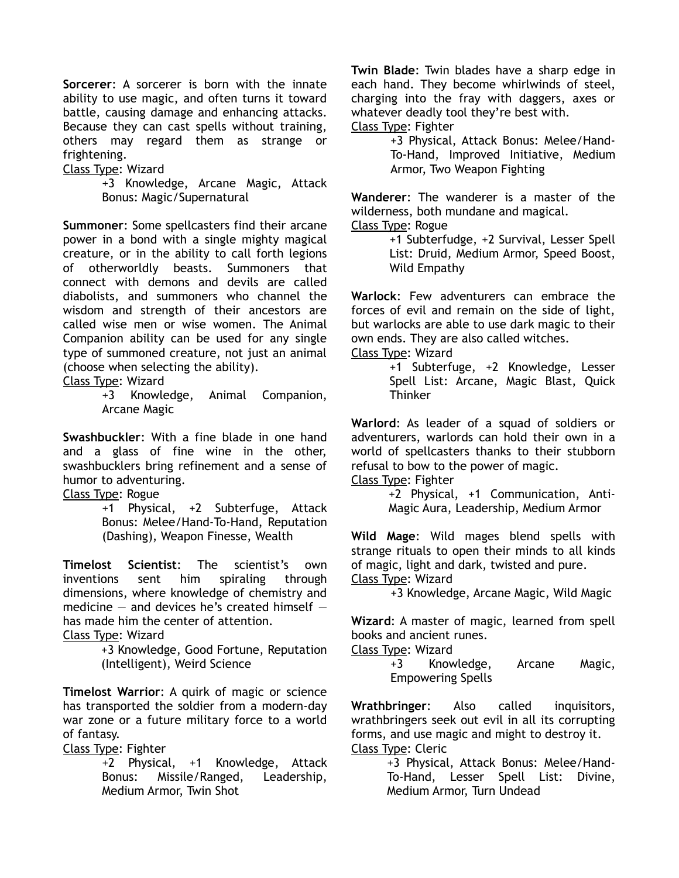**Sorcerer**: A sorcerer is born with the innate ability to use magic, and often turns it toward battle, causing damage and enhancing attacks. Because they can cast spells without training, others may regard them as strange or frightening.

Class Type: Wizard

+3 Knowledge, Arcane Magic, Attack Bonus: Magic/Supernatural

**Summoner**: Some spellcasters find their arcane power in a bond with a single mighty magical creature, or in the ability to call forth legions of otherworldly beasts. Summoners that connect with demons and devils are called diabolists, and summoners who channel the wisdom and strength of their ancestors are called wise men or wise women. The Animal Companion ability can be used for any single type of summoned creature, not just an animal (choose when selecting the ability).

Class Type: Wizard

+3 Knowledge, Animal Companion, Arcane Magic

**Swashbuckler**: With a fine blade in one hand and a glass of fine wine in the other, swashbucklers bring refinement and a sense of humor to adventuring.

Class Type: Rogue

+1 Physical, +2 Subterfuge, Attack Bonus: Melee/Hand-To-Hand, Reputation (Dashing), Weapon Finesse, Wealth

**Timelost Scientist**: The scientist's own inventions sent him spiraling dimensions, where knowledge of chemistry and medicine  $-$  and devices he's created himself  $$ has made him the center of attention.

Class Type: Wizard

+3 Knowledge, Good Fortune, Reputation (Intelligent), Weird Science

**Timelost Warrior**: A quirk of magic or science has transported the soldier from a modern-day war zone or a future military force to a world of fantasy.

Class Type: Fighter

+2 Physical, +1 Knowledge, Attack Bonus: Missile/Ranged, Leadership, Medium Armor, Twin Shot

**Twin Blade**: Twin blades have a sharp edge in each hand. They become whirlwinds of steel, charging into the fray with daggers, axes or whatever deadly tool they're best with.

Class Type: Fighter

+3 Physical, Attack Bonus: Melee/Hand-To-Hand, Improved Initiative, Medium Armor, Two Weapon Fighting

**Wanderer**: The wanderer is a master of the wilderness, both mundane and magical.

Class Type: Rogue

+1 Subterfudge, +2 Survival, Lesser Spell List: Druid, Medium Armor, Speed Boost, Wild Empathy

**Warlock**: Few adventurers can embrace the forces of evil and remain on the side of light, but warlocks are able to use dark magic to their own ends. They are also called witches.

Class Type: Wizard

+1 Subterfuge, +2 Knowledge, Lesser Spell List: Arcane, Magic Blast, Quick **Thinker** 

**Warlord**: As leader of a squad of soldiers or adventurers, warlords can hold their own in a world of spellcasters thanks to their stubborn refusal to bow to the power of magic.

Class Type: Fighter

+2 Physical, +1 Communication, Anti-Magic Aura, Leadership, Medium Armor

**Wild Mage**: Wild mages blend spells with strange rituals to open their minds to all kinds of magic, light and dark, twisted and pure. Class Type: Wizard

+3 Knowledge, Arcane Magic, Wild Magic

**Wizard**: A master of magic, learned from spell books and ancient runes.

Class Type: Wizard

+3 Knowledge, Arcane Magic, Empowering Spells

**Wrathbringer**: Also called inquisitors, wrathbringers seek out evil in all its corrupting forms, and use magic and might to destroy it. Class Type: Cleric

+3 Physical, Attack Bonus: Melee/Hand-To-Hand, Lesser Spell List: Divine, Medium Armor, Turn Undead